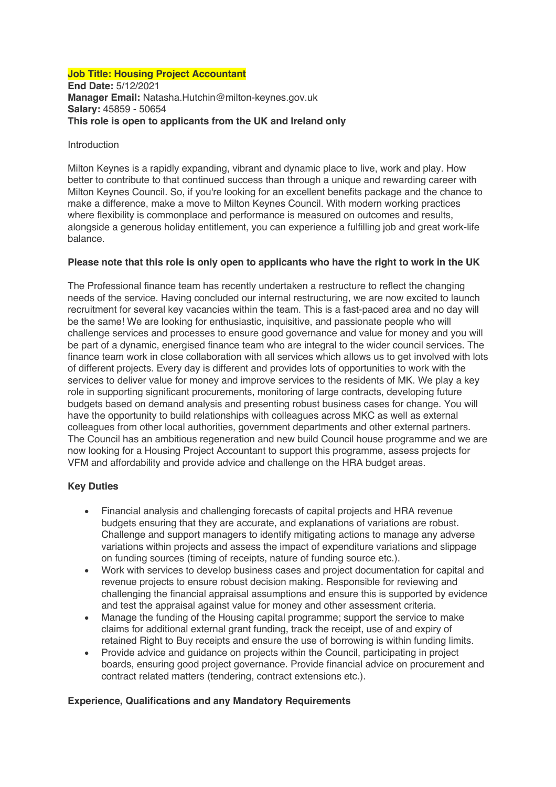### **Job Title: Housing Project Accountant**

**End Date:** 5/12/2021 **Manager Email:** Natasha.Hutchin@milton-keynes.gov.uk **Salary:** 45859 - 50654 **This role is open to applicants from the UK and Ireland only**

#### Introduction

Milton Keynes is a rapidly expanding, vibrant and dynamic place to live, work and play. How better to contribute to that continued success than through a unique and rewarding career with Milton Keynes Council. So, if you're looking for an excellent benefits package and the chance to make a difference, make a move to Milton Keynes Council. With modern working practices where flexibility is commonplace and performance is measured on outcomes and results, alongside a generous holiday entitlement, you can experience a fulfilling job and great work-life balance.

### **Please note that this role is only open to applicants who have the right to work in the UK**

The Professional finance team has recently undertaken a restructure to reflect the changing needs of the service. Having concluded our internal restructuring, we are now excited to launch recruitment for several key vacancies within the team. This is a fast-paced area and no day will be the same! We are looking for enthusiastic, inquisitive, and passionate people who will challenge services and processes to ensure good governance and value for money and you will be part of a dynamic, energised finance team who are integral to the wider council services. The finance team work in close collaboration with all services which allows us to get involved with lots of different projects. Every day is different and provides lots of opportunities to work with the services to deliver value for money and improve services to the residents of MK. We play a key role in supporting significant procurements, monitoring of large contracts, developing future budgets based on demand analysis and presenting robust business cases for change. You will have the opportunity to build relationships with colleagues across MKC as well as external colleagues from other local authorities, government departments and other external partners. The Council has an ambitious regeneration and new build Council house programme and we are now looking for a Housing Project Accountant to support this programme, assess projects for VFM and affordability and provide advice and challenge on the HRA budget areas.

### **Key Duties**

- Financial analysis and challenging forecasts of capital projects and HRA revenue budgets ensuring that they are accurate, and explanations of variations are robust. Challenge and support managers to identify mitigating actions to manage any adverse variations within projects and assess the impact of expenditure variations and slippage on funding sources (timing of receipts, nature of funding source etc.).
- Work with services to develop business cases and project documentation for capital and revenue projects to ensure robust decision making. Responsible for reviewing and challenging the financial appraisal assumptions and ensure this is supported by evidence and test the appraisal against value for money and other assessment criteria.
- Manage the funding of the Housing capital programme; support the service to make claims for additional external grant funding, track the receipt, use of and expiry of retained Right to Buy receipts and ensure the use of borrowing is within funding limits.
- Provide advice and quidance on projects within the Council, participating in project boards, ensuring good project governance. Provide financial advice on procurement and contract related matters (tendering, contract extensions etc.).

### **Experience, Qualifications and any Mandatory Requirements**